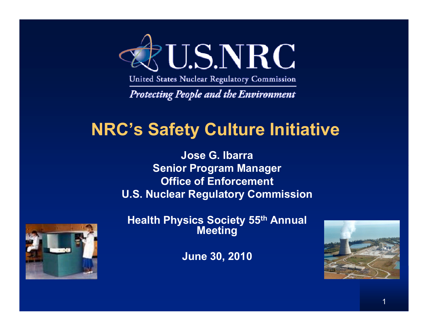

United States Nuclear Regulatory Commission

**Protecting People and the Environment** 

## **NRC's Safety Culture Initiative**

**Jose G. IbarraSiP M Senior Program Manage r Office of Enforcement U.S. Nuclear Regulatory Commission**



**Health Physics Society 55th Annual Meeting** 

**June 30, 2010**

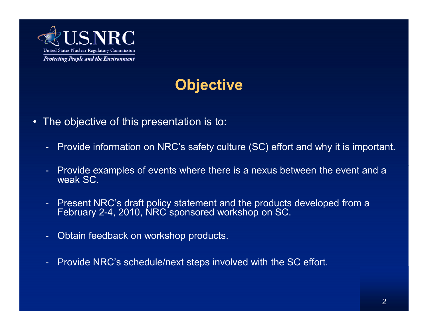

## **Objective**

- The objective of this presentation is to:
	- -Provide information on NRC's safety culture (SC) effort and why it is important.
	- - Provide examples of events where there is a nexus between the event and a weak SC.
	- - Present NRC's draft policy statement and the products developed from a February 2-4, 2010, NRC sponsored workshop on SC.
	- -Obtain feedback on workshop products.
	- -Provide NRC's schedule/next steps involved with the SC effort.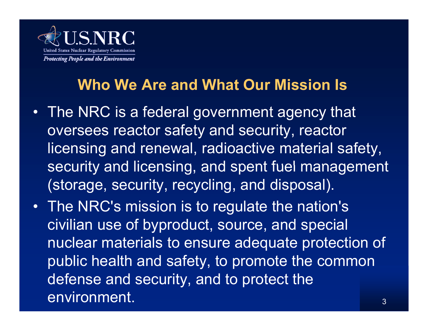

## **Who We Are and What Our Mission Is**

- The NRC is a federal government agency that oversees reactor safety and security, reactor licensing and renewal, radioactive material safety, security and licensing, and spent fuel management (storage, security, recycling, and disposal).
- 3• The NRC's mission is to regulate the nation's civilian use of byproduct, source, and special nuclear materials to ensure adequate protection of public health and safety, to promote the common defense and security, and to protect the environment.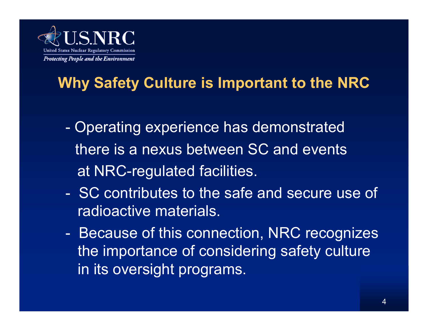

# **Why Safety Culture is Important to the NRC**

- - Operating experience has demonstrated there is a nexus between SC and eventsat NRC-regulated facilities.
- SC contributes to the safe and secure use of radioactive materials.
- - Because of this connection, NRC recognizes the importance of considering safety culture in its oversight programs.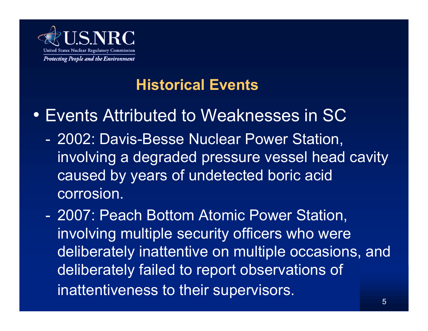

## **Historical Events**

# • Events Attributed to Weaknesses in SC

- - 2002: Davis-Besse Nuclear Power Station, involving a degraded pressure vessel head cavity caused by years of undetected boric acid corrosion.
- - 2007: Peach Bottom Atomic Power Station, involving multiple security officers who were deliberately inattentive on multiple occasions, and deliberately failed to report observations of inattentiveness to their supervisors.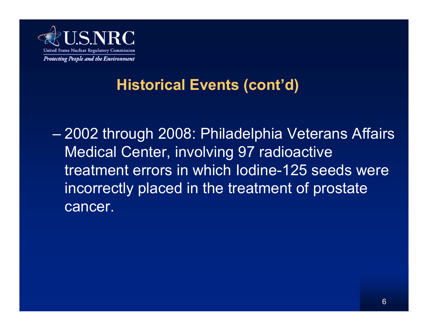

## **Historical Events (cont'd)**

 2002 through 2008: Philadelphia Veterans Affairs Medical Center, involving 97 radioactive treatment errors in which lodine-125 seeds were incorrectly placed in the treatment of prostate cancer.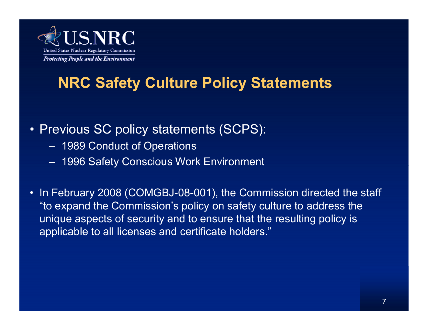

## **NRC Safety Culture Policy Statements**

#### • Previous SC policy statements (SCPS):

- 1989 Conduct of Operations
- 1996 Safety Conscious Work Environment
- In February 2008 (COMGBJ-08-001), the Commission directed the staff "to expand the Commission's policy on safety culture to address the unique aspects of security and to ensure that the resulting policy is applicable to all licenses and certificate holders."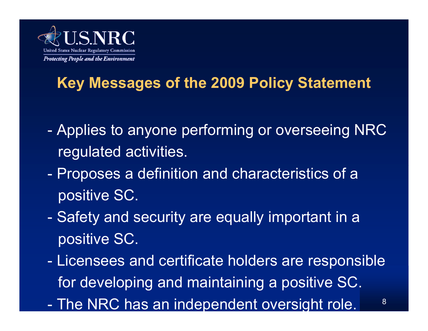

# **Key Messages of the 2009 Policy Statement**

- - Applies to anyone performing or overseeing NRC regulated activities.
- - Proposes a definition and characteristics of a positive SC.
- - Safety and security are equally important in a positive SC.
- - Licensees and certificate holders are responsible for developing and maintaining a positive SC.
- The NRC has an inde pendent oversi ght role.

8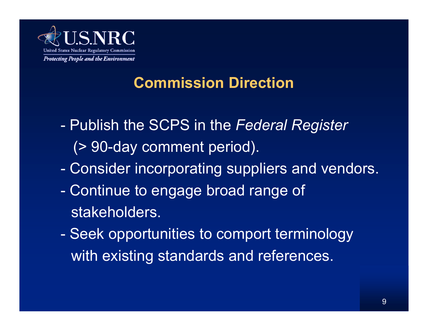

## **Commission Direction**

- - Publish the SCPS in the *Federal Register*  (> 90-day comment period).
- Consider incorporating suppliers and vendors.
- - Continue to engage broad range of stakeholders.
- - Seek opportunities to comport terminology with existing standards and references.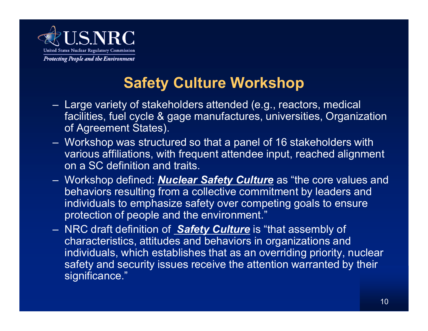

## **Safety Culture Workshop**

- Large variety of stakeholders attended (e.g., reactors, medical facilities, fuel cycle & gage manufactures, universities, Organization of Agreement States).
- Workshop was structured so that a panel of 16 stakeholders with various affiliations, with frequent attendee input, reached alignment on a SC definition and traits.
- Workshop defined: *Nuclear Safety Culture* as "the core values and behaviors resulting from a collective commitment by leaders and individuals to emphasize safety over competing goals to ensure protection of people and the environment."
- NRC draft definition of *Safety Culture* is "that assembly of characteristics, attitudes and behaviors in organizations and individuals, which establishes that as an overriding priority, nuclear safety and security issues receive the attention warranted by their significance."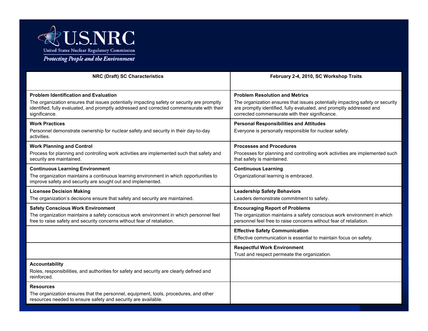

| <b>NRC (Draft) SC Characteristics</b>                                                                                                                                                                                                                    | February 2-4, 2010, SC Workshop Traits                                                                                                                                                                                                            |
|----------------------------------------------------------------------------------------------------------------------------------------------------------------------------------------------------------------------------------------------------------|---------------------------------------------------------------------------------------------------------------------------------------------------------------------------------------------------------------------------------------------------|
| <b>Problem Identification and Evaluation</b><br>The organization ensures that issues potentially impacting safety or security are promptly<br>identified, fully evaluated, and promptly addressed and corrected commensurate with their<br>significance. | <b>Problem Resolution and Metrics</b><br>The organization ensures that issues potentially impacting safety or security<br>are promptly identified, fully evaluated, and promptly addressed and<br>corrected commensurate with their significance. |
| <b>Work Practices</b><br>Personnel demonstrate ownership for nuclear safety and security in their day-to-day<br>activities.                                                                                                                              | <b>Personal Responsibilities and Attitudes</b><br>Everyone is personally responsible for nuclear safety.                                                                                                                                          |
| <b>Work Planning and Control</b><br>Process for planning and controlling work activities are implemented such that safety and<br>security are maintained.                                                                                                | <b>Processes and Procedures</b><br>Processes for planning and controlling work activities are implemented such<br>that safety is maintained.                                                                                                      |
| <b>Continuous Learning Environment</b><br>The organization maintains a continuous learning environment in which opportunities to<br>improve safety and security are sought out and implemented.                                                          | <b>Continuous Learning</b><br>Organizational learning is embraced.                                                                                                                                                                                |
| <b>Licensee Decision Making</b><br>The organization's decisions ensure that safety and security are maintained.                                                                                                                                          | <b>Leadership Safety Behaviors</b><br>Leaders demonstrate commitment to safety.                                                                                                                                                                   |
| <b>Safety Conscious Work Environment</b><br>The organization maintains a safety conscious work environment in which personnel feel<br>free to raise safety and security concerns without fear of retaliation.                                            | <b>Encouraging Report of Problems</b><br>The organization maintains a safety conscious work environment in which<br>personnel feel free to raise concerns without fear of retaliation.                                                            |
|                                                                                                                                                                                                                                                          | <b>Effective Safety Communication</b><br>Effective communication is essential to maintain focus on safety.                                                                                                                                        |
|                                                                                                                                                                                                                                                          | <b>Respectful Work Environment</b><br>Trust and respect permeate the organization.                                                                                                                                                                |
| <b>Accountability</b><br>Roles, responsibilities, and authorities for safety and security are clearly defined and<br>reinforced.                                                                                                                         |                                                                                                                                                                                                                                                   |
| <b>Resources</b><br>The organization ensures that the personnel, equipment, tools, procedures, and other<br>resources needed to ensure safety and security are available.                                                                                |                                                                                                                                                                                                                                                   |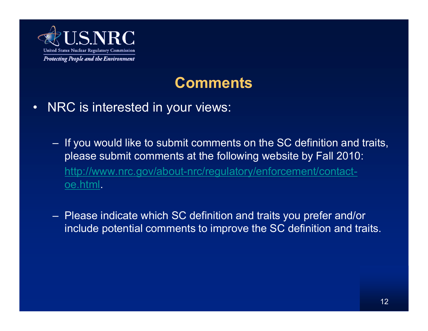

### **Comments**

- $\bullet$  NRC is interested in your views:
	- If you would like to submit comments on the SC definition and traits, please submit comments at the following website by Fall 2010: http://www.nrc.gov/about-nrc/regulatory/enforcement/contactoe.html.
	- Please indicate which SC definition and traits you prefer and/or include potential comments to improve the SC definition and traits.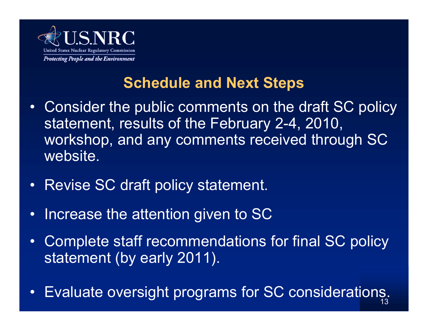

## **Schedule and Next Steps**

- Consider the public comments on the draft SC policy statement, results of the February 2-4, 2010, workshop, and any comments received through SC website.
- •Revise SC draft policy statement.
- $\bullet$ Increase the attention given to SC
- $\bullet$  Complete staff recommendations for final SC policy statement (by early 2011).
- Evaluate oversight programs for SC considerations.  $\bullet$